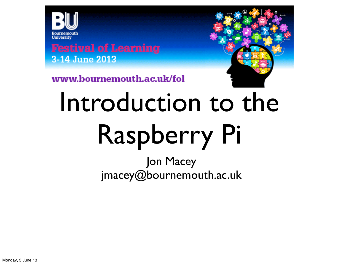

**Festival of Learning** 3-14 June 2013



www.bournemouth.ac.uk/fol

## Introduction to the Raspberry Pi

Jon Macey [jmacey@bournemouth.ac.uk](mailto:jmacey@bournemouth.ac.uk)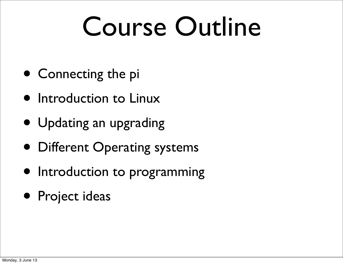#### Course Outline

- Connecting the pi
- Introduction to Linux
- Updating an upgrading
- Different Operating systems
- Introduction to programming
- Project ideas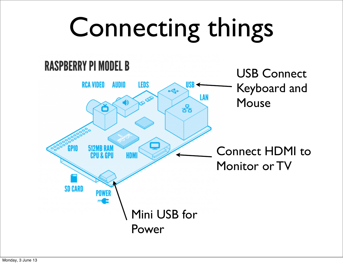### Connecting things

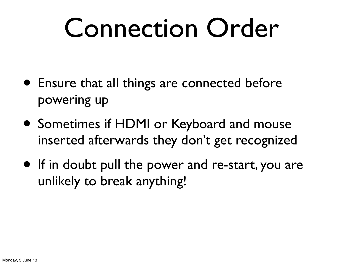#### Connection Order

- Ensure that all things are connected before powering up
- Sometimes if HDMI or Keyboard and mouse inserted afterwards they don't get recognized
- If in doubt pull the power and re-start, you are unlikely to break anything!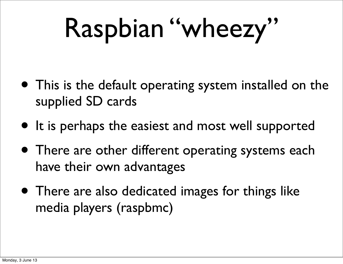## Raspbian "wheezy"

- This is the default operating system installed on the supplied SD cards
- It is perhaps the easiest and most well supported
- There are other different operating systems each have their own advantages
- There are also dedicated images for things like media players (raspbmc)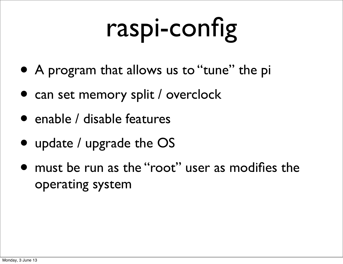## raspi-config

- A program that allows us to "tune" the pi
- can set memory split / overclock
- enable / disable features
- update / upgrade the OS
- must be run as the "root" user as modifies the operating system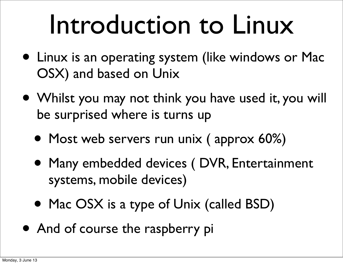#### Introduction to Linux

- Linux is an operating system (like windows or Mac OSX) and based on Unix
- Whilst you may not think you have used it, you will be surprised where is turns up
	- Most web servers run unix (approx 60%)
	- Many embedded devices ( DVR, Entertainment systems, mobile devices)
	- Mac OSX is a type of Unix (called BSD)
- And of course the raspberry pi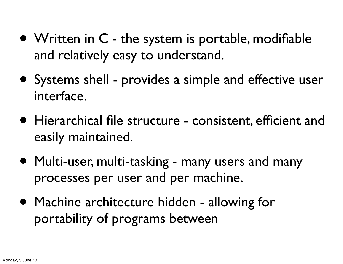- Written in C the system is portable, modifiable and relatively easy to understand.
- Systems shell provides a simple and effective user interface.
- Hierarchical file structure consistent, efficient and easily maintained.
- Multi-user, multi-tasking many users and many processes per user and per machine.
- Machine architecture hidden allowing for portability of programs between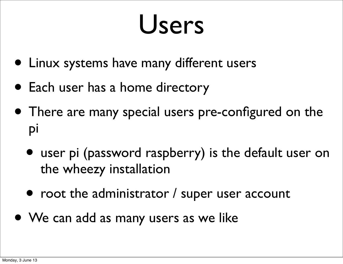#### Users

- Linux systems have many different users
- Each user has a home directory
- There are many special users pre-configured on the pi
	- user pi (password raspberry) is the default user on the wheezy installation
	- root the administrator / super user account
- We can add as many users as we like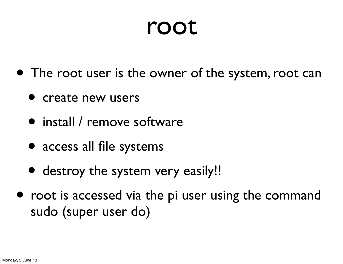#### root

- The root user is the owner of the system, root can
	- **P** create new users
	- install / remove software
	- access all file systems
	- destroy the system very easily!!
- root is accessed via the pi user using the command sudo (super user do)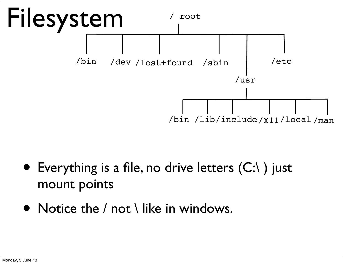

- Everything is a file, no drive letters  $(C:\)$  just mount points
- Notice the / not \ like in windows.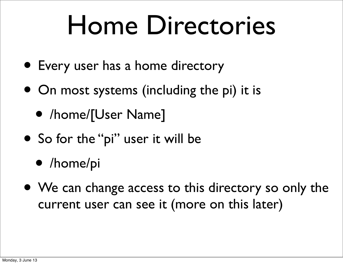#### Home Directories

- Every user has a home directory
- On most systems (including the pi) it is
	- /home/[User Name]
- So for the "pi" user it will be
	- /home/pi
- We can change access to this directory so only the current user can see it (more on this later)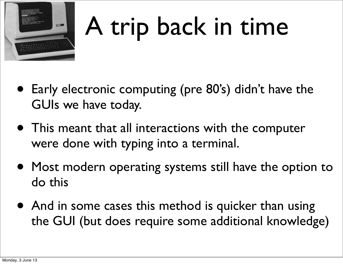

#### A trip back in time

- Early electronic computing (pre 80's) didn't have the GUIs we have today.
- This meant that all interactions with the computer were done with typing into a terminal.
- Most modern operating systems still have the option to do this
- And in some cases this method is quicker than using the GUI (but does require some additional knowledge)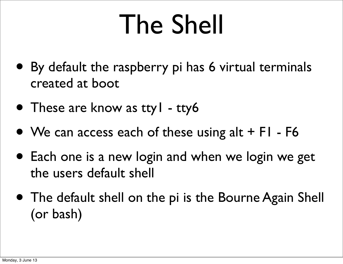#### The Shell

- By default the raspberry pi has 6 virtual terminals created at boot
- These are know as tty I tty6
- We can access each of these using  $alt + FI F6$
- Each one is a new login and when we login we get the users default shell
- The default shell on the pi is the Bourne Again Shell (or bash)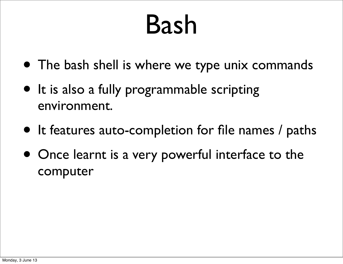#### Bash

- The bash shell is where we type unix commands
- It is also a fully programmable scripting environment.
- It features auto-completion for file names / paths
- Once learnt is a very powerful interface to the computer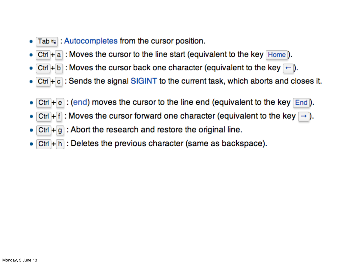- Tab  $\frac{1}{2}$ : Autocompletes from the cursor position.
- Ctrl  $+$  a : Moves the cursor to the line start (equivalent to the key Home).
- Ctrl + b : Moves the cursor back one character (equivalent to the key  $\leftarrow$  ).
- $Ctrl + c$ : Sends the signal SIGINT to the current task, which aborts and closes it.
- Ctrl  $\pm$  e : (end) moves the cursor to the line end (equivalent to the key  $[End]$ ).
- Ctrl + f : Moves the cursor forward one character (equivalent to the key  $\rightarrow$  ).
- $|C$ trl +  $g$  : Abort the research and restore the original line. ۰
- $Ctrl + h$ : Deletes the previous character (same as backspace).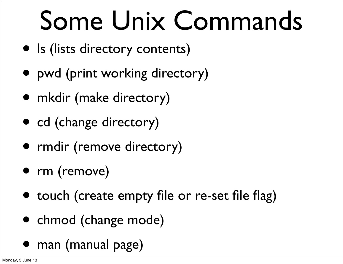#### Some Unix Commands

- ls (lists directory contents)
- pwd (print working directory)
- mkdir (make directory)
- cd (change directory)
- rmdir (remove directory)
- rm (remove)
- touch (create empty file or re-set file flag)
- chmod (change mode)
- man (manual page)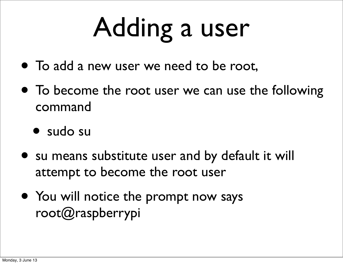## Adding a user

- To add a new user we need to be root,
- To become the root user we can use the following command
	- sudo su
- su means substitute user and by default it will attempt to become the root user
- You will notice the prompt now says root@raspberrypi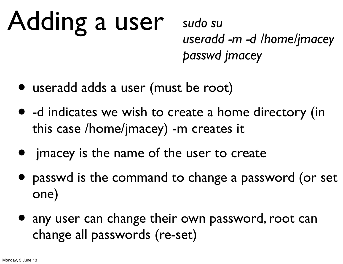# Adding a user

*sudo su useradd -m -d /home/jmacey passwd jmacey* 

- useradd adds a user (must be root)
- -d indicates we wish to create a home directory (in this case /home/jmacey) -m creates it
- jmacey is the name of the user to create
- passwd is the command to change a password (or set one)
- any user can change their own password, root can change all passwords (re-set)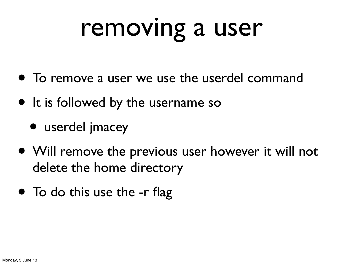#### removing a user

- To remove a user we use the userdel command
- It is followed by the username so
	- userdel jmacey
- Will remove the previous user however it will not delete the home directory
- To do this use the -r flag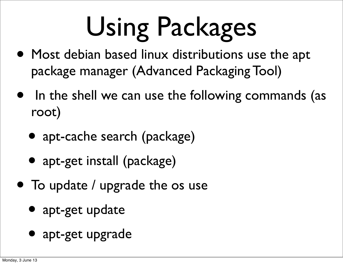## Using Packages

- Most debian based linux distributions use the apt package manager (Advanced Packaging Tool)
- In the shell we can use the following commands (as root)
	- apt-cache search (package)
	- apt-get install (package)
- To update / upgrade the os use
	- apt-get update
	- apt-get upgrade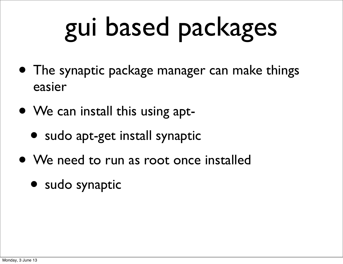## gui based packages

- The synaptic package manager can make things easier
- We can install this using apt-
	- sudo apt-get install synaptic
- We need to run as root once installed
	- sudo synaptic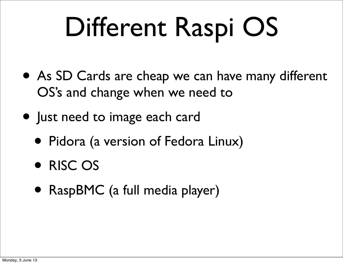### Different Raspi OS

- As SD Cards are cheap we can have many different OS's and change when we need to
- Just need to image each card
	- Pidora (a version of Fedora Linux)
	- RISC OS
	- RaspBMC (a full media player)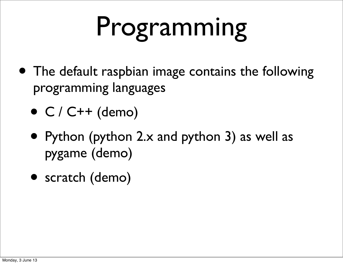## Programming

- The default raspbian image contains the following programming languages
	- $\bullet$  C / C++ (demo)
	- Python (python 2.x and python 3) as well as pygame (demo)
	- scratch (demo)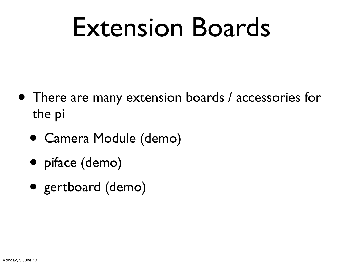#### Extension Boards

- There are many extension boards / accessories for the pi
	- Camera Module (demo)
	- piface (demo)
	- gertboard (demo)